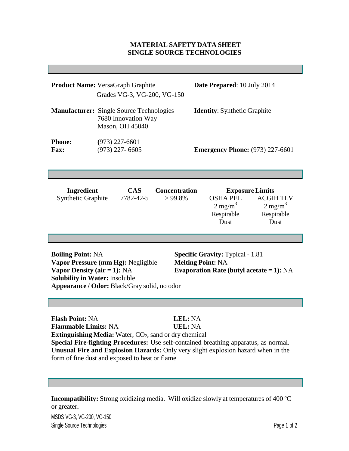## **MATERIAL SAFETY DATA SHEET SINGLE SOURCE TECHNOLOGIES**

|                                                                                                                                                                                                                                                                                                                                                                                                | Product Name: VersaGraph Graphite<br>Grades VG-3, VG-200, VG-150                          |                                    | Date Prepared: 10 July 2014                                                                                                                          |
|------------------------------------------------------------------------------------------------------------------------------------------------------------------------------------------------------------------------------------------------------------------------------------------------------------------------------------------------------------------------------------------------|-------------------------------------------------------------------------------------------|------------------------------------|------------------------------------------------------------------------------------------------------------------------------------------------------|
|                                                                                                                                                                                                                                                                                                                                                                                                | <b>Manufacturer:</b> Single Source Technologies<br>7680 Innovation Way<br>Mason, OH 45040 |                                    | <b>Identity:</b> Synthetic Graphite                                                                                                                  |
| <b>Phone:</b><br>Fax:                                                                                                                                                                                                                                                                                                                                                                          | $(973)$ 227-6601<br>$(973)$ 227-6605                                                      |                                    | <b>Emergency Phone:</b> (973) 227-6601                                                                                                               |
|                                                                                                                                                                                                                                                                                                                                                                                                |                                                                                           |                                    |                                                                                                                                                      |
| Ingredient<br><b>Synthetic Graphite</b>                                                                                                                                                                                                                                                                                                                                                        | <b>CAS</b><br>7782-42-5                                                                   | <b>Concentration</b><br>$> 99.8\%$ | <b>Exposure Limits</b><br><b>OSHA PEL</b><br><b>ACGIHTLV</b><br>$2 \text{ mg/m}^3$<br>$2 \text{ mg/m}^3$<br>Respirable<br>Respirable<br>Dust<br>Dust |
|                                                                                                                                                                                                                                                                                                                                                                                                |                                                                                           |                                    |                                                                                                                                                      |
| <b>Boiling Point: NA</b><br><b>Specific Gravity: Typical - 1.81</b><br>Vapor Pressure (mm Hg): Negligible<br><b>Melting Point: NA</b><br>Vapor Density (air = 1): $NA$<br>Evaporation Rate (butyl acetate = $1$ ): NA<br><b>Solubility in Water: Insoluble</b><br>Appearance / Odor: Black/Gray solid, no odor                                                                                 |                                                                                           |                                    |                                                                                                                                                      |
|                                                                                                                                                                                                                                                                                                                                                                                                |                                                                                           |                                    |                                                                                                                                                      |
| <b>Flash Point: NA</b><br>LEL: NA<br><b>Flammable Limits: NA</b><br><b>UEL: NA</b><br><b>Extinguishing Media:</b> Water, CO <sub>2</sub> , sand or dry chemical<br>Special Fire-fighting Procedures: Use self-contained breathing apparatus, as normal.<br>Unusual Fire and Explosion Hazards: Only very slight explosion hazard when in the<br>form of fine dust and exposed to heat or flame |                                                                                           |                                    |                                                                                                                                                      |
|                                                                                                                                                                                                                                                                                                                                                                                                |                                                                                           |                                    |                                                                                                                                                      |

**Incompatibility:** Strong oxidizing media. Will oxidize slowly at temperatures of 400 ºC or greater**.**